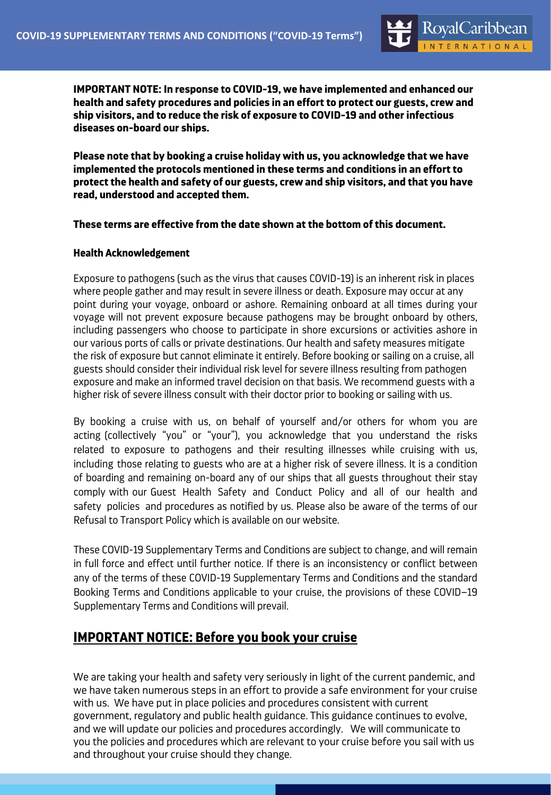

**IMPORTANT NOTE: In response to COVID-19, we have implemented and enhanced our health and safety procedures and policies in an effort to protect our guests, crew and ship visitors, and to reduce the risk of exposure to COVID-19 and other infectious diseases on-board our ships.** 

**Please note that by booking a cruise holiday with us, you acknowledge that we have implemented the protocols mentioned in these terms and conditions in an effort to protect the health and safety of our guests, crew and ship visitors, and that you have read, understood and accepted them.** 

## **These terms are effective from the date shown at the bottom of this document.**

#### **Health Acknowledgement**

Exposure to pathogens (such as the virus that causes COVID-19) is an inherent risk in places where people gather and may result in severe illness or death. Exposure may occur at any point during your voyage, onboard or ashore. Remaining onboard at all times during your voyage will not prevent exposure because pathogens may be brought onboard by others, including passengers who choose to participate in shore excursions or activities ashore in our various ports of calls or private destinations. Our health and safety measures mitigate the risk of exposure but cannot eliminate it entirely. Before booking or sailing on a cruise, all guests should consider their individual risk level for severe illness resulting from pathogen exposure and make an informed travel decision on that basis. We recommend guests with a higher risk of severe illness consult with their doctor prior to booking or sailing with us.

By booking a cruise with us, on behalf of yourself and/or others for whom you are acting (collectively "you" or "your"), you acknowledge that you understand the risks related to exposure to pathogens and their resulting illnesses while cruising with us, including those relating to guests who are at a higher risk of severe illness. It is a condition of boarding and remaining on-board any of our ships that all guests throughout their stay comply with our Guest Health Safety and Conduct Policy and all of our health and safety policies and procedures as notified by us. Please also be aware of the terms of our Refusal to Transport Policy which is available on our website.

These COVID-19 Supplementary Terms and Conditions are subject to change, and will remain in full force and effect until further notice. If there is an inconsistency or conflict between any of the terms of these COVID-19 Supplementary Terms and Conditions and the standard Booking Terms and Conditions applicable to your cruise, the provisions of these COVID–19 Supplementary Terms and Conditions will prevail.

# **IMPORTANT NOTICE: Before you book your cruise**

We are taking your health and safety very seriously in light of the current pandemic, and we have taken numerous steps in an effort to provide a safe environment for your cruise with us. We have put in place policies and procedures consistent with current government, regulatory and public health guidance. This guidance continues to evolve, and we will update our policies and procedures accordingly. We will communicate to you the policies and procedures which are relevant to your cruise before you sail with us and throughout your cruise should they change.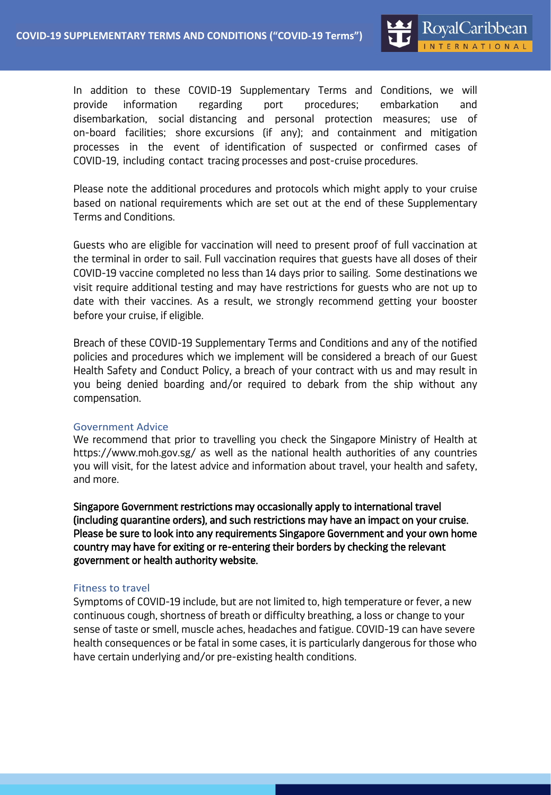In addition to these COVID-19 Supplementary Terms and Conditions, we will provide information regarding port procedures; embarkation and disembarkation, social distancing and personal protection measures; use of on-board facilities; shore excursions (if any); and containment and mitigation processes in the event of identification of suspected or confirmed cases of COVID-19, including contact tracing processes and post-cruise procedures.

Please note the additional procedures and protocols which might apply to your cruise based on national requirements which are set out at the end of these Supplementary Terms and Conditions.

Guests who are eligible for vaccination will need to present proof of full vaccination at the terminal in order to sail. Full vaccination requires that guests have all doses of their COVID-19 vaccine completed no less than 14 days prior to sailing. Some destinations we visit require additional testing and may have restrictions for guests who are not up to date with their vaccines. As a result, we strongly recommend getting your booster before your cruise, if eligible.

Breach of these COVID-19 Supplementary Terms and Conditions and any of the notified policies and procedures which we implement will be considered a breach of our Guest Health Safety and Conduct Policy, a breach of your contract with us and may result in you being denied boarding and/or required to debark from the ship without any compensation.

#### Government Advice

We recommend that prior to travelling you check the Singapore Ministry of Health at https://www.moh.gov.sg/ as well as the national health authorities of any countries you will visit, for the latest advice and information about travel, your health and safety, and more.

Singapore Government restrictions may occasionally apply to international travel (including quarantine orders), and such restrictions may have an impact on your cruise. Please be sure to look into any requirements Singapore Government and your own home country may have for exiting or re-entering their borders by checking the relevant government or health authority website.

#### Fitness to travel

Symptoms of COVID-19 include, but are not limited to, high temperature or fever, a new continuous cough, shortness of breath or difficulty breathing, a loss or change to your sense of taste or smell, muscle aches, headaches and fatigue. COVID-19 can have severe health consequences or be fatal in some cases, it is particularly dangerous for those who have certain underlying and/or pre-existing health conditions.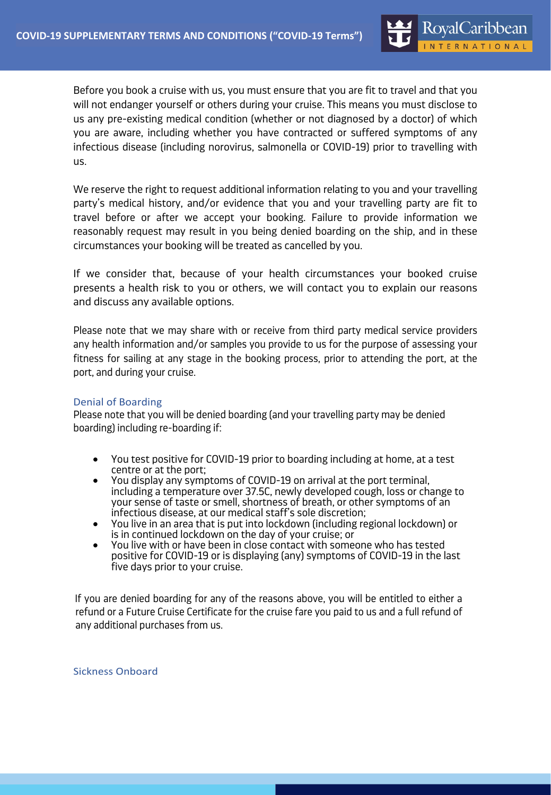Before you book a cruise with us, you must ensure that you are fit to travel and that you will not endanger yourself or others during your cruise. This means you must disclose to us any pre-existing medical condition (whether or not diagnosed by a doctor) of which you are aware, including whether you have contracted or suffered symptoms of any infectious disease (including norovirus, salmonella or COVID-19) prior to travelling with us.

We reserve the right to request additional information relating to you and your travelling party's medical history, and/or evidence that you and your travelling party are fit to travel before or after we accept your booking. Failure to provide information we reasonably request may result in you being denied boarding on the ship, and in these circumstances your booking will be treated as cancelled by you.

If we consider that, because of your health circumstances your booked cruise presents a health risk to you or others, we will contact you to explain our reasons and discuss any available options.

Please note that we may share with or receive from third party medical service providers any health information and/or samples you provide to us for the purpose of assessing your fitness for sailing at any stage in the booking process, prior to attending the port, at the port, and during your cruise.

#### Denial of Boarding

Please note that you will be denied boarding (and your travelling party may be denied boarding) including re-boarding if:

- You test positive for COVID-19 prior to boarding including at home, at a test centre or at the port;
- You display any symptoms of COVID-19 on arrival at the port terminal, including a temperature over 37.5C, newly developed cough, loss or change to your sense of taste or smell, shortness of breath, or other symptoms of an infectious disease, at our medical staff's sole discretion;
- You live in an area that is put into lockdown (including regional lockdown) or is in continued lockdown on the day of your cruise; or
- You live with or have been in close contact with someone who has tested positive for COVID-19 or is displaying (any) symptoms of COVID-19 in the last five days prior to your cruise.

If you are denied boarding for any of the reasons above, you will be entitled to either a refund or a Future Cruise Certificate for the cruise fare you paid to us and a full refund of any additional purchases from us.

Sickness Onboard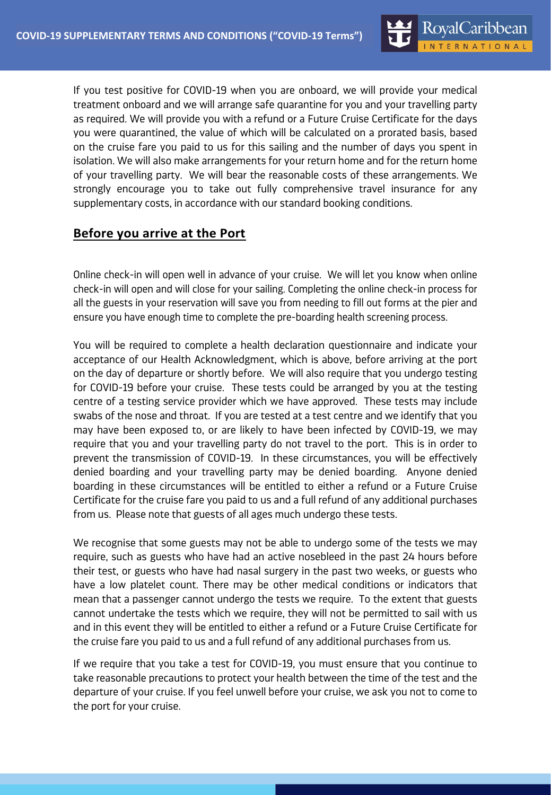If you test positive for COVID-19 when you are onboard, we will provide your medical treatment onboard and we will arrange safe quarantine for you and your travelling party as required. We will provide you with a refund or a Future Cruise Certificate for the days you were quarantined, the value of which will be calculated on a prorated basis, based on the cruise fare you paid to us for this sailing and the number of days you spent in isolation. We will also make arrangements for your return home and for the return home of your travelling party. We will bear the reasonable costs of these arrangements. We strongly encourage you to take out fully comprehensive travel insurance for any supplementary costs, in accordance with our standard booking conditions.

# **Before you arrive at the Port**

Online check-in will open well in advance of your cruise. We will let you know when online check-in will open and will close for your sailing. Completing the online check-in process for all the guests in your reservation will save you from needing to fill out forms at the pier and ensure you have enough time to complete the pre-boarding health screening process.

You will be required to complete a health declaration questionnaire and indicate your acceptance of our Health Acknowledgment, which is above, before arriving at the port on the day of departure or shortly before. We will also require that you undergo testing for COVID-19 before your cruise. These tests could be arranged by you at the testing centre of a testing service provider which we have approved. These tests may include swabs of the nose and throat. If you are tested at a test centre and we identify that you may have been exposed to, or are likely to have been infected by COVID-19, we may require that you and your travelling party do not travel to the port. This is in order to prevent the transmission of COVID-19. In these circumstances, you will be effectively denied boarding and your travelling party may be denied boarding. Anyone denied boarding in these circumstances will be entitled to either a refund or a Future Cruise Certificate for the cruise fare you paid to us and a full refund of any additional purchases from us. Please note that guests of all ages much undergo these tests.

We recognise that some guests may not be able to undergo some of the tests we may require, such as guests who have had an active nosebleed in the past 24 hours before their test, or guests who have had nasal surgery in the past two weeks, or guests who have a low platelet count. There may be other medical conditions or indicators that mean that a passenger cannot undergo the tests we require. To the extent that guests cannot undertake the tests which we require, they will not be permitted to sail with us and in this event they will be entitled to either a refund or a Future Cruise Certificate for the cruise fare you paid to us and a full refund of any additional purchases from us.

If we require that you take a test for COVID-19, you must ensure that you continue to take reasonable precautions to protect your health between the time of the test and the departure of your cruise. If you feel unwell before your cruise, we ask you not to come to the port for your cruise.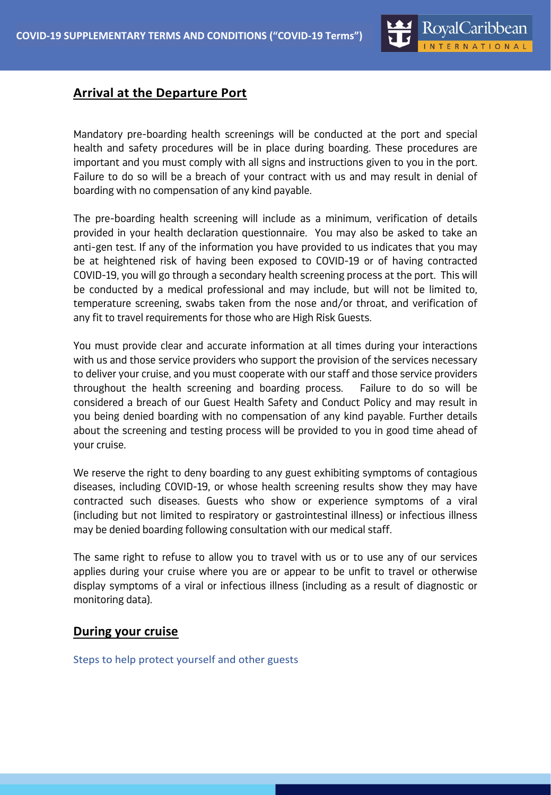# **Arrival at the Departure Port**

Mandatory pre-boarding health screenings will be conducted at the port and special health and safety procedures will be in place during boarding. These procedures are important and you must comply with all signs and instructions given to you in the port. Failure to do so will be a breach of your contract with us and may result in denial of boarding with no compensation of any kind payable.

The pre-boarding health screening will include as a minimum, verification of details provided in your health declaration questionnaire. You may also be asked to take an anti-gen test. If any of the information you have provided to us indicates that you may be at heightened risk of having been exposed to COVID-19 or of having contracted COVID-19, you will go through a secondary health screening process at the port. This will be conducted by a medical professional and may include, but will not be limited to, temperature screening, swabs taken from the nose and/or throat, and verification of any fit to travel requirements for those who are High Risk Guests.

You must provide clear and accurate information at all times during your interactions with us and those service providers who support the provision of the services necessary to deliver your cruise, and you must cooperate with our staff and those service providers throughout the health screening and boarding process. Failure to do so will be considered a breach of our Guest Health Safety and Conduct Policy and may result in you being denied boarding with no compensation of any kind payable. Further details about the screening and testing process will be provided to you in good time ahead of your cruise.

We reserve the right to deny boarding to any guest exhibiting symptoms of contagious diseases, including COVID-19, or whose health screening results show they may have contracted such diseases. Guests who show or experience symptoms of a viral (including but not limited to respiratory or gastrointestinal illness) or infectious illness may be denied boarding following consultation with our medical staff.

The same right to refuse to allow you to travel with us or to use any of our services applies during your cruise where you are or appear to be unfit to travel or otherwise display symptoms of a viral or infectious illness (including as a result of diagnostic or monitoring data).

## **During your cruise**

Steps to help protect yourself and other guests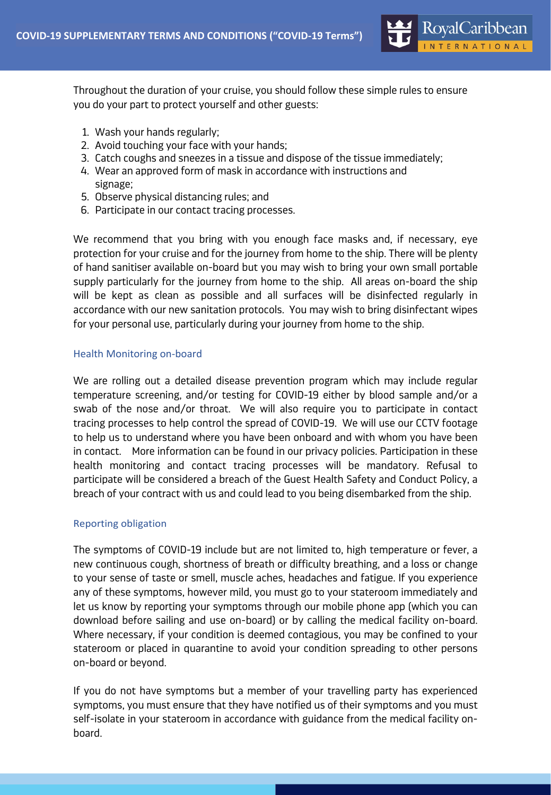

Throughout the duration of your cruise, you should follow these simple rules to ensure you do your part to protect yourself and other guests:

- 1. Wash your hands regularly;
- 2. Avoid touching your face with your hands;
- 3. Catch coughs and sneezes in a tissue and dispose of the tissue immediately;
- 4. Wear an approved form of mask in accordance with instructions and signage;
- 5. Observe physical distancing rules; and
- 6. Participate in our contact tracing processes.

We recommend that you bring with you enough face masks and, if necessary, eye protection for your cruise and for the journey from home to the ship. There will be plenty of hand sanitiser available on-board but you may wish to bring your own small portable supply particularly for the journey from home to the ship. All areas on-board the ship will be kept as clean as possible and all surfaces will be disinfected regularly in accordance with our new sanitation protocols. You may wish to bring disinfectant wipes for your personal use, particularly during your journey from home to the ship.

## Health Monitoring on-board

We are rolling out a detailed disease prevention program which may include regular temperature screening, and/or testing for COVID-19 either by blood sample and/or a swab of the nose and/or throat. We will also require you to participate in contact tracing processes to help control the spread of COVID-19. We will use our CCTV footage to help us to understand where you have been onboard and with whom you have been in contact. More information can be found in our privacy policies. Participation in these health monitoring and contact tracing processes will be mandatory. Refusal to participate will be considered a breach of the Guest Health Safety and Conduct Policy, a breach of your contract with us and could lead to you being disembarked from the ship.

## Reporting obligation

The symptoms of COVID-19 include but are not limited to, high temperature or fever, a new continuous cough, shortness of breath or difficulty breathing, and a loss or change to your sense of taste or smell, muscle aches, headaches and fatigue. If you experience any of these symptoms, however mild, you must go to your stateroom immediately and let us know by reporting your symptoms through our mobile phone app (which you can download before sailing and use on-board) or by calling the medical facility on-board. Where necessary, if your condition is deemed contagious, you may be confined to your stateroom or placed in quarantine to avoid your condition spreading to other persons on-board or beyond.

If you do not have symptoms but a member of your travelling party has experienced symptoms, you must ensure that they have notified us of their symptoms and you must self-isolate in your stateroom in accordance with guidance from the medical facility onboard.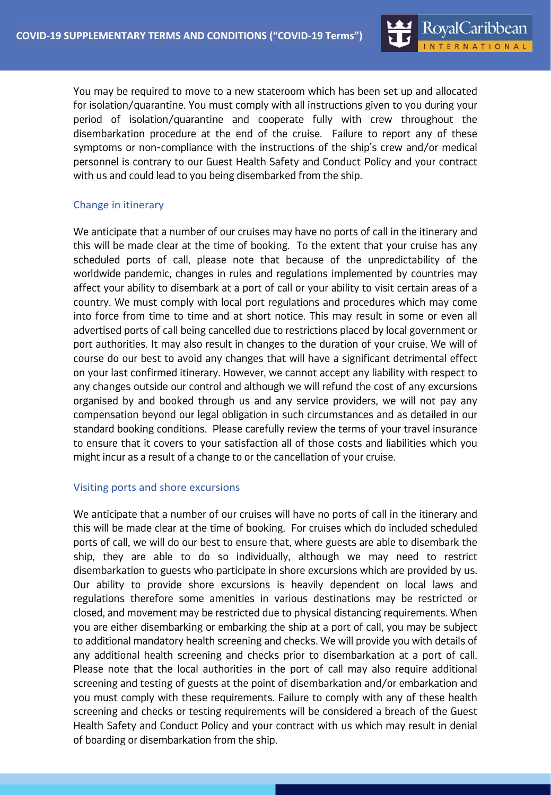You may be required to move to a new stateroom which has been set up and allocated for isolation/quarantine. You must comply with all instructions given to you during your period of isolation/quarantine and cooperate fully with crew throughout the disembarkation procedure at the end of the cruise. Failure to report any of these symptoms or non-compliance with the instructions of the ship's crew and/or medical personnel is contrary to our Guest Health Safety and Conduct Policy and your contract with us and could lead to you being disembarked from the ship.

## Change in itinerary

We anticipate that a number of our cruises may have no ports of call in the itinerary and this will be made clear at the time of booking. To the extent that your cruise has any scheduled ports of call, please note that because of the unpredictability of the worldwide pandemic, changes in rules and regulations implemented by countries may affect your ability to disembark at a port of call or your ability to visit certain areas of a country. We must comply with local port regulations and procedures which may come into force from time to time and at short notice. This may result in some or even all advertised ports of call being cancelled due to restrictions placed by local government or port authorities. It may also result in changes to the duration of your cruise. We will of course do our best to avoid any changes that will have a significant detrimental effect on your last confirmed itinerary. However, we cannot accept any liability with respect to any changes outside our control and although we will refund the cost of any excursions organised by and booked through us and any service providers, we will not pay any compensation beyond our legal obligation in such circumstances and as detailed in our standard booking conditions. Please carefully review the terms of your travel insurance to ensure that it covers to your satisfaction all of those costs and liabilities which you might incur as a result of a change to or the cancellation of your cruise.

#### Visiting ports and shore excursions

We anticipate that a number of our cruises will have no ports of call in the itinerary and this will be made clear at the time of booking. For cruises which do included scheduled ports of call, we will do our best to ensure that, where guests are able to disembark the ship, they are able to do so individually, although we may need to restrict disembarkation to guests who participate in shore excursions which are provided by us. Our ability to provide shore excursions is heavily dependent on local laws and regulations therefore some amenities in various destinations may be restricted or closed, and movement may be restricted due to physical distancing requirements. When you are either disembarking or embarking the ship at a port of call, you may be subject to additional mandatory health screening and checks. We will provide you with details of any additional health screening and checks prior to disembarkation at a port of call. Please note that the local authorities in the port of call may also require additional screening and testing of guests at the point of disembarkation and/or embarkation and you must comply with these requirements. Failure to comply with any of these health screening and checks or testing requirements will be considered a breach of the Guest Health Safety and Conduct Policy and your contract with us which may result in denial of boarding or disembarkation from the ship.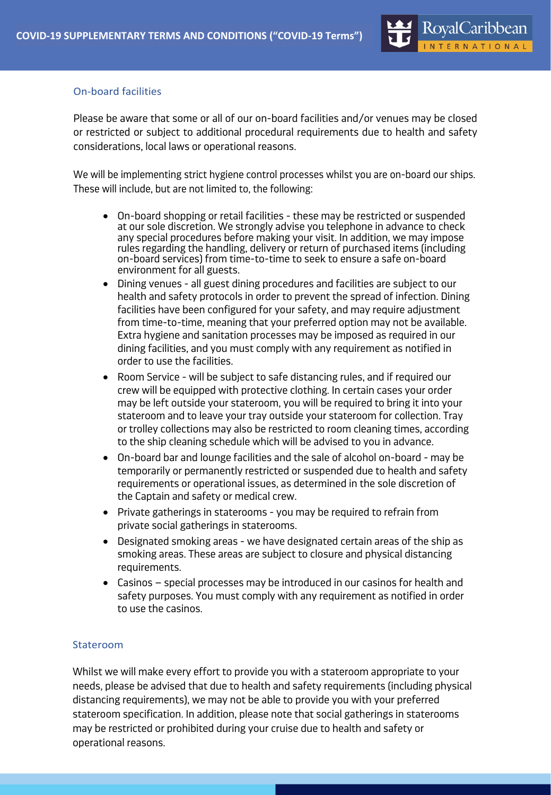## On-board facilities

Please be aware that some or all of our on-board facilities and/or venues may be closed or restricted or subject to additional procedural requirements due to health and safety considerations, local laws or operational reasons.

We will be implementing strict hygiene control processes whilst you are on-board our ships. These will include, but are not limited to, the following:

- On-board shopping or retail facilities these may be restricted or suspended at our sole discretion. We strongly advise you telephone in advance to check any special procedures before making your visit. In addition, we may impose rules regarding the handling, delivery or return of purchased items (including on-board services) from time-to-time to seek to ensure a safe on-board environment for all guests.
- Dining venues all guest dining procedures and facilities are subject to our health and safety protocols in order to prevent the spread of infection. Dining facilities have been configured for your safety, and may require adjustment from time-to-time, meaning that your preferred option may not be available. Extra hygiene and sanitation processes may be imposed as required in our dining facilities, and you must comply with any requirement as notified in order to use the facilities.
- Room Service will be subject to safe distancing rules, and if required our crew will be equipped with protective clothing. In certain cases your order may be left outside your stateroom, you will be required to bring it into your stateroom and to leave your tray outside your stateroom for collection. Tray or trolley collections may also be restricted to room cleaning times, according to the ship cleaning schedule which will be advised to you in advance.
- On-board bar and lounge facilities and the sale of alcohol on-board may be temporarily or permanently restricted or suspended due to health and safety requirements or operational issues, as determined in the sole discretion of the Captain and safety or medical crew.
- Private gatherings in staterooms you may be required to refrain from private social gatherings in staterooms.
- Designated smoking areas we have designated certain areas of the ship as smoking areas. These areas are subject to closure and physical distancing requirements.
- Casinos special processes may be introduced in our casinos for health and safety purposes. You must comply with any requirement as notified in order to use the casinos.

## Stateroom

Whilst we will make every effort to provide you with a stateroom appropriate to your needs, please be advised that due to health and safety requirements (including physical distancing requirements), we may not be able to provide you with your preferred stateroom specification. In addition, please note that social gatherings in staterooms may be restricted or prohibited during your cruise due to health and safety or operational reasons.